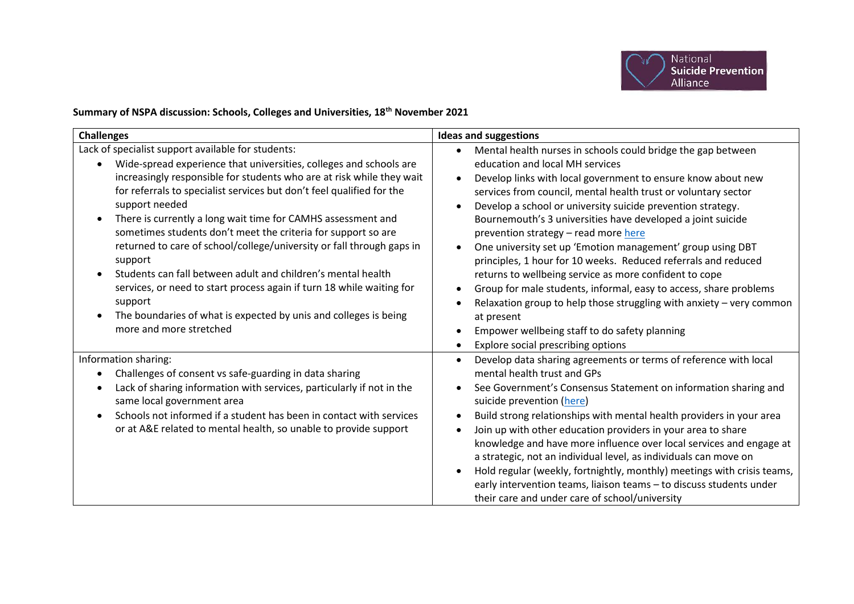

## **Summary of NSPA discussion: Schools, Colleges and Universities, 18th November 2021**

| <b>Challenges</b>                                                                                                                                                                                                                                                                                                                                                                                                                                                                                                                                                                                                                                                                                                                                                                 | <b>Ideas and suggestions</b>                                                                                                                                                                                                                                                                                                                                                                                                                                                                                                                                                                                                                                                                                                                                                                                                                                                    |
|-----------------------------------------------------------------------------------------------------------------------------------------------------------------------------------------------------------------------------------------------------------------------------------------------------------------------------------------------------------------------------------------------------------------------------------------------------------------------------------------------------------------------------------------------------------------------------------------------------------------------------------------------------------------------------------------------------------------------------------------------------------------------------------|---------------------------------------------------------------------------------------------------------------------------------------------------------------------------------------------------------------------------------------------------------------------------------------------------------------------------------------------------------------------------------------------------------------------------------------------------------------------------------------------------------------------------------------------------------------------------------------------------------------------------------------------------------------------------------------------------------------------------------------------------------------------------------------------------------------------------------------------------------------------------------|
| Lack of specialist support available for students:<br>Wide-spread experience that universities, colleges and schools are<br>$\bullet$<br>increasingly responsible for students who are at risk while they wait<br>for referrals to specialist services but don't feel qualified for the<br>support needed<br>There is currently a long wait time for CAMHS assessment and<br>sometimes students don't meet the criteria for support so are<br>returned to care of school/college/university or fall through gaps in<br>support<br>Students can fall between adult and children's mental health<br>services, or need to start process again if turn 18 while waiting for<br>support<br>The boundaries of what is expected by unis and colleges is being<br>more and more stretched | Mental health nurses in schools could bridge the gap between<br>education and local MH services<br>Develop links with local government to ensure know about new<br>$\bullet$<br>services from council, mental health trust or voluntary sector<br>Develop a school or university suicide prevention strategy.<br>Bournemouth's 3 universities have developed a joint suicide<br>prevention strategy - read more here<br>One university set up 'Emotion management' group using DBT<br>$\bullet$<br>principles, 1 hour for 10 weeks. Reduced referrals and reduced<br>returns to wellbeing service as more confident to cope<br>Group for male students, informal, easy to access, share problems<br>Relaxation group to help those struggling with anxiety $-$ very common<br>at present<br>Empower wellbeing staff to do safety planning<br>Explore social prescribing options |
| Information sharing:<br>Challenges of consent vs safe-guarding in data sharing<br>$\bullet$<br>Lack of sharing information with services, particularly if not in the<br>same local government area<br>Schools not informed if a student has been in contact with services<br>$\bullet$<br>or at A&E related to mental health, so unable to provide support                                                                                                                                                                                                                                                                                                                                                                                                                        | Develop data sharing agreements or terms of reference with local<br>mental health trust and GPs<br>See Government's Consensus Statement on information sharing and<br>suicide prevention (here)<br>Build strong relationships with mental health providers in your area<br>Join up with other education providers in your area to share<br>knowledge and have more influence over local services and engage at<br>a strategic, not an individual level, as individuals can move on<br>Hold regular (weekly, fortnightly, monthly) meetings with crisis teams,<br>early intervention teams, liaison teams - to discuss students under<br>their care and under care of school/university                                                                                                                                                                                          |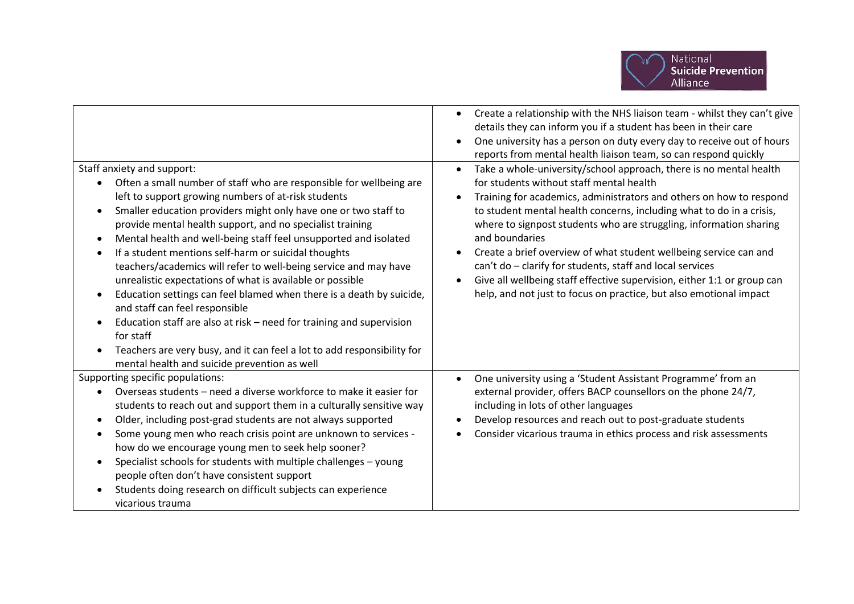

|                                                                                                                                                                                                                                                                                                                                                                                                                                                                                                                                                                                                                                                                                                                                                                                             | Create a relationship with the NHS liaison team - whilst they can't give<br>details they can inform you if a student has been in their care<br>One university has a person on duty every day to receive out of hours<br>reports from mental health liaison team, so can respond quickly                                                                                                                                                                                                                                |
|---------------------------------------------------------------------------------------------------------------------------------------------------------------------------------------------------------------------------------------------------------------------------------------------------------------------------------------------------------------------------------------------------------------------------------------------------------------------------------------------------------------------------------------------------------------------------------------------------------------------------------------------------------------------------------------------------------------------------------------------------------------------------------------------|------------------------------------------------------------------------------------------------------------------------------------------------------------------------------------------------------------------------------------------------------------------------------------------------------------------------------------------------------------------------------------------------------------------------------------------------------------------------------------------------------------------------|
| Staff anxiety and support:<br>Often a small number of staff who are responsible for wellbeing are                                                                                                                                                                                                                                                                                                                                                                                                                                                                                                                                                                                                                                                                                           | Take a whole-university/school approach, there is no mental health<br>for students without staff mental health                                                                                                                                                                                                                                                                                                                                                                                                         |
| left to support growing numbers of at-risk students<br>Smaller education providers might only have one or two staff to<br>$\bullet$<br>provide mental health support, and no specialist training<br>Mental health and well-being staff feel unsupported and isolated<br>$\bullet$<br>If a student mentions self-harm or suicidal thoughts<br>$\bullet$<br>teachers/academics will refer to well-being service and may have<br>unrealistic expectations of what is available or possible<br>Education settings can feel blamed when there is a death by suicide,<br>$\bullet$<br>and staff can feel responsible<br>Education staff are also at risk - need for training and supervision<br>for staff<br>Teachers are very busy, and it can feel a lot to add responsibility for<br>$\bullet$ | Training for academics, administrators and others on how to respond<br>to student mental health concerns, including what to do in a crisis,<br>where to signpost students who are struggling, information sharing<br>and boundaries<br>Create a brief overview of what student wellbeing service can and<br>can't do - clarify for students, staff and local services<br>Give all wellbeing staff effective supervision, either 1:1 or group can<br>help, and not just to focus on practice, but also emotional impact |
| mental health and suicide prevention as well                                                                                                                                                                                                                                                                                                                                                                                                                                                                                                                                                                                                                                                                                                                                                |                                                                                                                                                                                                                                                                                                                                                                                                                                                                                                                        |
| Supporting specific populations:                                                                                                                                                                                                                                                                                                                                                                                                                                                                                                                                                                                                                                                                                                                                                            | One university using a 'Student Assistant Programme' from an                                                                                                                                                                                                                                                                                                                                                                                                                                                           |
| Overseas students - need a diverse workforce to make it easier for<br>students to reach out and support them in a culturally sensitive way                                                                                                                                                                                                                                                                                                                                                                                                                                                                                                                                                                                                                                                  | external provider, offers BACP counsellors on the phone 24/7,<br>including in lots of other languages                                                                                                                                                                                                                                                                                                                                                                                                                  |
| Older, including post-grad students are not always supported<br>$\bullet$                                                                                                                                                                                                                                                                                                                                                                                                                                                                                                                                                                                                                                                                                                                   | Develop resources and reach out to post-graduate students                                                                                                                                                                                                                                                                                                                                                                                                                                                              |
| Some young men who reach crisis point are unknown to services -<br>$\bullet$                                                                                                                                                                                                                                                                                                                                                                                                                                                                                                                                                                                                                                                                                                                | Consider vicarious trauma in ethics process and risk assessments                                                                                                                                                                                                                                                                                                                                                                                                                                                       |
| how do we encourage young men to seek help sooner?                                                                                                                                                                                                                                                                                                                                                                                                                                                                                                                                                                                                                                                                                                                                          |                                                                                                                                                                                                                                                                                                                                                                                                                                                                                                                        |
| Specialist schools for students with multiple challenges - young<br>$\bullet$                                                                                                                                                                                                                                                                                                                                                                                                                                                                                                                                                                                                                                                                                                               |                                                                                                                                                                                                                                                                                                                                                                                                                                                                                                                        |
| people often don't have consistent support                                                                                                                                                                                                                                                                                                                                                                                                                                                                                                                                                                                                                                                                                                                                                  |                                                                                                                                                                                                                                                                                                                                                                                                                                                                                                                        |
| Students doing research on difficult subjects can experience<br>vicarious trauma                                                                                                                                                                                                                                                                                                                                                                                                                                                                                                                                                                                                                                                                                                            |                                                                                                                                                                                                                                                                                                                                                                                                                                                                                                                        |